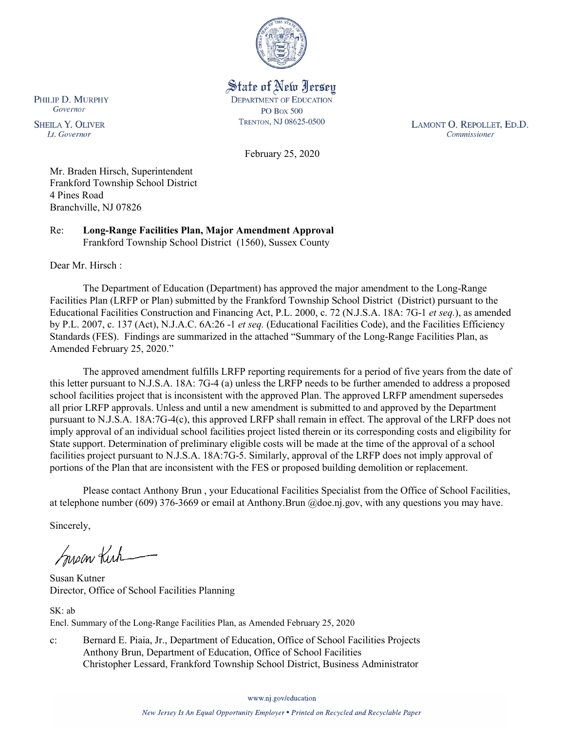

State of New Jersey **DEPARTMENT OF EDUCATION PO Box 500** TRENTON, NJ 08625-0500

LAMONT O. REPOLLET, ED.D. Commissioner

February 25, 2020

Mr. Braden Hirsch, Superintendent Frankford Township School District 4 Pines Road Branchville, NJ 07826

Re: **Long-Range Facilities Plan, Major Amendment Approval** Frankford Township School District (1560), Sussex County

Dear Mr. Hirsch :

PHILIP D. MURPHY Governor

**SHEILA Y. OLIVER** 

Lt. Governor

The Department of Education (Department) has approved the major amendment to the Long-Range Facilities Plan (LRFP or Plan) submitted by the Frankford Township School District (District) pursuant to the Educational Facilities Construction and Financing Act, P.L. 2000, c. 72 (N.J.S.A. 18A: 7G-1 *et seq.*), as amended by P.L. 2007, c. 137 (Act), N.J.A.C. 6A:26 -1 *et seq.* (Educational Facilities Code), and the Facilities Efficiency Standards (FES). Findings are summarized in the attached "Summary of the Long-Range Facilities Plan, as Amended February 25, 2020."

The approved amendment fulfills LRFP reporting requirements for a period of five years from the date of this letter pursuant to N.J.S.A. 18A: 7G-4 (a) unless the LRFP needs to be further amended to address a proposed school facilities project that is inconsistent with the approved Plan. The approved LRFP amendment supersedes all prior LRFP approvals. Unless and until a new amendment is submitted to and approved by the Department pursuant to N.J.S.A. 18A:7G-4(c), this approved LRFP shall remain in effect. The approval of the LRFP does not imply approval of an individual school facilities project listed therein or its corresponding costs and eligibility for State support. Determination of preliminary eligible costs will be made at the time of the approval of a school facilities project pursuant to N.J.S.A. 18A:7G-5. Similarly, approval of the LRFP does not imply approval of portions of the Plan that are inconsistent with the FES or proposed building demolition or replacement.

Please contact Anthony Brun , your Educational Facilities Specialist from the Office of School Facilities, at telephone number (609) 376-3669 or email at Anthony.Brun @doe.nj.gov, with any questions you may have.

Sincerely,

Susan Kich

Susan Kutner Director, Office of School Facilities Planning

SK: ab Encl. Summary of the Long-Range Facilities Plan, as Amended February 25, 2020

c: Bernard E. Piaia, Jr., Department of Education, Office of School Facilities Projects Anthony Brun, Department of Education, Office of School Facilities Christopher Lessard, Frankford Township School District, Business Administrator

www.nj.gov/education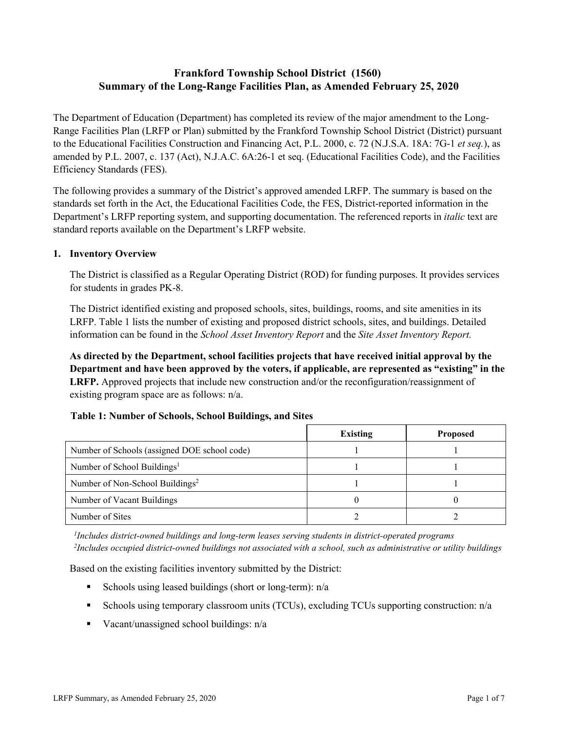# **Frankford Township School District (1560) Summary of the Long-Range Facilities Plan, as Amended February 25, 2020**

The Department of Education (Department) has completed its review of the major amendment to the Long-Range Facilities Plan (LRFP or Plan) submitted by the Frankford Township School District (District) pursuant to the Educational Facilities Construction and Financing Act, P.L. 2000, c. 72 (N.J.S.A. 18A: 7G-1 *et seq.*), as amended by P.L. 2007, c. 137 (Act), N.J.A.C. 6A:26-1 et seq. (Educational Facilities Code), and the Facilities Efficiency Standards (FES).

The following provides a summary of the District's approved amended LRFP. The summary is based on the standards set forth in the Act, the Educational Facilities Code, the FES, District-reported information in the Department's LRFP reporting system, and supporting documentation. The referenced reports in *italic* text are standard reports available on the Department's LRFP website.

#### **1. Inventory Overview**

The District is classified as a Regular Operating District (ROD) for funding purposes. It provides services for students in grades PK-8.

The District identified existing and proposed schools, sites, buildings, rooms, and site amenities in its LRFP. Table 1 lists the number of existing and proposed district schools, sites, and buildings. Detailed information can be found in the *School Asset Inventory Report* and the *Site Asset Inventory Report.*

**As directed by the Department, school facilities projects that have received initial approval by the Department and have been approved by the voters, if applicable, are represented as "existing" in the LRFP.** Approved projects that include new construction and/or the reconfiguration/reassignment of existing program space are as follows: n/a.

# **Table 1: Number of Schools, School Buildings, and Sites**

|                                              | Existing | <b>Proposed</b> |
|----------------------------------------------|----------|-----------------|
| Number of Schools (assigned DOE school code) |          |                 |
| Number of School Buildings <sup>1</sup>      |          |                 |
| Number of Non-School Buildings <sup>2</sup>  |          |                 |
| Number of Vacant Buildings                   |          |                 |
| Number of Sites                              |          |                 |

*1 Includes district-owned buildings and long-term leases serving students in district-operated programs 2 Includes occupied district-owned buildings not associated with a school, such as administrative or utility buildings*

Based on the existing facilities inventory submitted by the District:

- Schools using leased buildings (short or long-term):  $n/a$
- Schools using temporary classroom units (TCUs), excluding TCUs supporting construction: n/a
- Vacant/unassigned school buildings:  $n/a$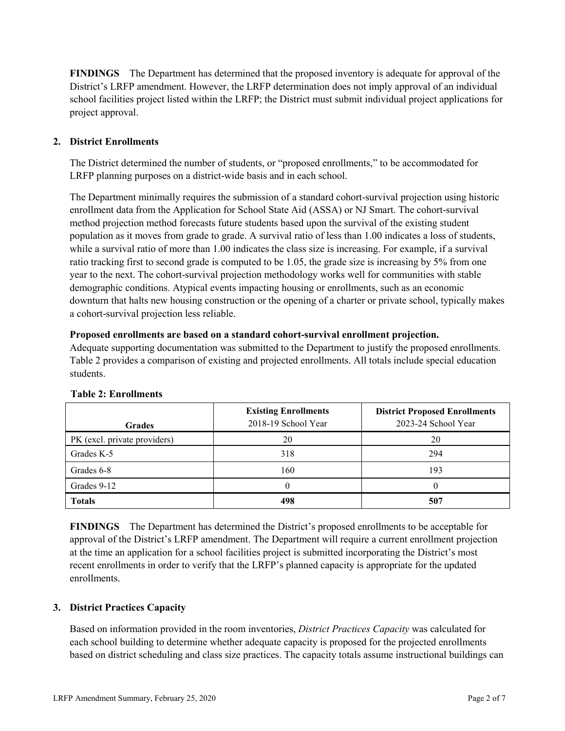**FINDINGS** The Department has determined that the proposed inventory is adequate for approval of the District's LRFP amendment. However, the LRFP determination does not imply approval of an individual school facilities project listed within the LRFP; the District must submit individual project applications for project approval.

# **2. District Enrollments**

The District determined the number of students, or "proposed enrollments," to be accommodated for LRFP planning purposes on a district-wide basis and in each school.

The Department minimally requires the submission of a standard cohort-survival projection using historic enrollment data from the Application for School State Aid (ASSA) or NJ Smart. The cohort-survival method projection method forecasts future students based upon the survival of the existing student population as it moves from grade to grade. A survival ratio of less than 1.00 indicates a loss of students, while a survival ratio of more than 1.00 indicates the class size is increasing. For example, if a survival ratio tracking first to second grade is computed to be 1.05, the grade size is increasing by 5% from one year to the next. The cohort-survival projection methodology works well for communities with stable demographic conditions. Atypical events impacting housing or enrollments, such as an economic downturn that halts new housing construction or the opening of a charter or private school, typically makes a cohort-survival projection less reliable.

#### **Proposed enrollments are based on a standard cohort-survival enrollment projection.**

Adequate supporting documentation was submitted to the Department to justify the proposed enrollments. Table 2 provides a comparison of existing and projected enrollments. All totals include special education students.

| <b>Grades</b>                | <b>Existing Enrollments</b><br>2018-19 School Year | <b>District Proposed Enrollments</b><br>2023-24 School Year |
|------------------------------|----------------------------------------------------|-------------------------------------------------------------|
| PK (excl. private providers) | 20                                                 | 20                                                          |
| Grades K-5                   | 318                                                | 294                                                         |
| Grades 6-8                   | 160                                                | 193                                                         |
| Grades 9-12                  |                                                    |                                                             |
| <b>Totals</b>                | 498                                                | 507                                                         |

# **Table 2: Enrollments**

**FINDINGS** The Department has determined the District's proposed enrollments to be acceptable for approval of the District's LRFP amendment. The Department will require a current enrollment projection at the time an application for a school facilities project is submitted incorporating the District's most recent enrollments in order to verify that the LRFP's planned capacity is appropriate for the updated enrollments.

# **3. District Practices Capacity**

Based on information provided in the room inventories, *District Practices Capacity* was calculated for each school building to determine whether adequate capacity is proposed for the projected enrollments based on district scheduling and class size practices. The capacity totals assume instructional buildings can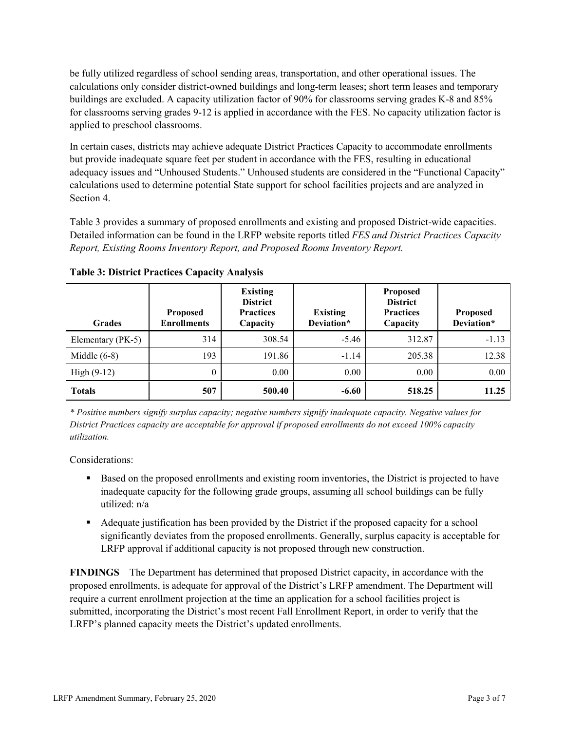be fully utilized regardless of school sending areas, transportation, and other operational issues. The calculations only consider district-owned buildings and long-term leases; short term leases and temporary buildings are excluded. A capacity utilization factor of 90% for classrooms serving grades K-8 and 85% for classrooms serving grades 9-12 is applied in accordance with the FES. No capacity utilization factor is applied to preschool classrooms.

In certain cases, districts may achieve adequate District Practices Capacity to accommodate enrollments but provide inadequate square feet per student in accordance with the FES, resulting in educational adequacy issues and "Unhoused Students." Unhoused students are considered in the "Functional Capacity" calculations used to determine potential State support for school facilities projects and are analyzed in Section 4.

Table 3 provides a summary of proposed enrollments and existing and proposed District-wide capacities. Detailed information can be found in the LRFP website reports titled *FES and District Practices Capacity Report, Existing Rooms Inventory Report, and Proposed Rooms Inventory Report.*

| <b>Grades</b>     | <b>Proposed</b><br><b>Enrollments</b> | <b>Existing</b><br><b>District</b><br><b>Practices</b><br>Capacity | <b>Existing</b><br>Deviation* | <b>Proposed</b><br><b>District</b><br><b>Practices</b><br>Capacity | <b>Proposed</b><br>Deviation* |
|-------------------|---------------------------------------|--------------------------------------------------------------------|-------------------------------|--------------------------------------------------------------------|-------------------------------|
| Elementary (PK-5) | 314                                   | 308.54                                                             | $-5.46$                       | 312.87                                                             | $-1.13$                       |
| Middle $(6-8)$    | 193                                   | 191.86                                                             | $-1.14$                       | 205.38                                                             | 12.38                         |
| $High (9-12)$     | $\theta$                              | 0.00                                                               | 0.00                          | 0.00                                                               | 0.00                          |
| <b>Totals</b>     | 507                                   | 500.40                                                             | $-6.60$                       | 518.25                                                             | 11.25                         |

**Table 3: District Practices Capacity Analysis**

*\* Positive numbers signify surplus capacity; negative numbers signify inadequate capacity. Negative values for District Practices capacity are acceptable for approval if proposed enrollments do not exceed 100% capacity utilization.*

Considerations:

- **Based on the proposed enrollments and existing room inventories, the District is projected to have** inadequate capacity for the following grade groups, assuming all school buildings can be fully utilized: n/a
- Adequate justification has been provided by the District if the proposed capacity for a school significantly deviates from the proposed enrollments. Generally, surplus capacity is acceptable for LRFP approval if additional capacity is not proposed through new construction.

**FINDINGS**The Department has determined that proposed District capacity, in accordance with the proposed enrollments, is adequate for approval of the District's LRFP amendment. The Department will require a current enrollment projection at the time an application for a school facilities project is submitted, incorporating the District's most recent Fall Enrollment Report, in order to verify that the LRFP's planned capacity meets the District's updated enrollments.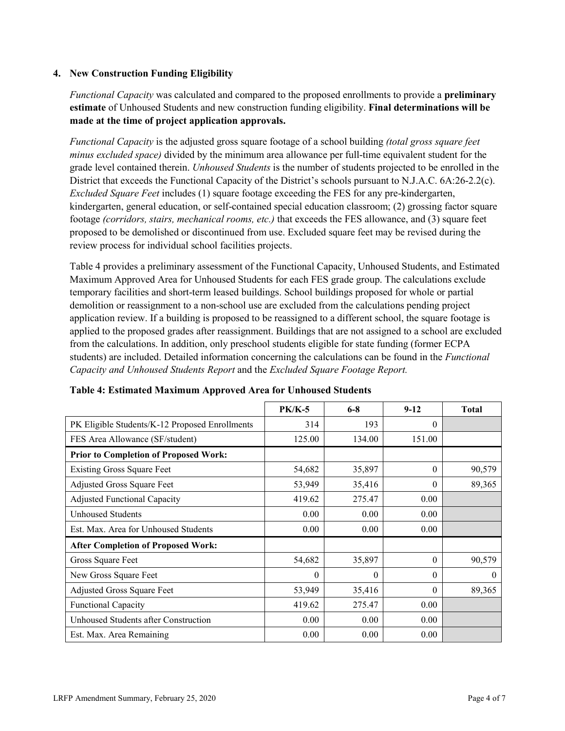#### **4. New Construction Funding Eligibility**

*Functional Capacity* was calculated and compared to the proposed enrollments to provide a **preliminary estimate** of Unhoused Students and new construction funding eligibility. **Final determinations will be made at the time of project application approvals.**

*Functional Capacity* is the adjusted gross square footage of a school building *(total gross square feet minus excluded space)* divided by the minimum area allowance per full-time equivalent student for the grade level contained therein. *Unhoused Students* is the number of students projected to be enrolled in the District that exceeds the Functional Capacity of the District's schools pursuant to N.J.A.C. 6A:26-2.2(c). *Excluded Square Feet* includes (1) square footage exceeding the FES for any pre-kindergarten, kindergarten, general education, or self-contained special education classroom; (2) grossing factor square footage *(corridors, stairs, mechanical rooms, etc.)* that exceeds the FES allowance, and (3) square feet proposed to be demolished or discontinued from use. Excluded square feet may be revised during the review process for individual school facilities projects.

Table 4 provides a preliminary assessment of the Functional Capacity, Unhoused Students, and Estimated Maximum Approved Area for Unhoused Students for each FES grade group. The calculations exclude temporary facilities and short-term leased buildings. School buildings proposed for whole or partial demolition or reassignment to a non-school use are excluded from the calculations pending project application review. If a building is proposed to be reassigned to a different school, the square footage is applied to the proposed grades after reassignment. Buildings that are not assigned to a school are excluded from the calculations. In addition, only preschool students eligible for state funding (former ECPA students) are included. Detailed information concerning the calculations can be found in the *Functional Capacity and Unhoused Students Report* and the *Excluded Square Footage Report.*

|                                                | <b>PK/K-5</b> | $6 - 8$  | $9 - 12$ | <b>Total</b> |
|------------------------------------------------|---------------|----------|----------|--------------|
| PK Eligible Students/K-12 Proposed Enrollments | 314           | 193      | $\theta$ |              |
| FES Area Allowance (SF/student)                | 125.00        | 134.00   | 151.00   |              |
| <b>Prior to Completion of Proposed Work:</b>   |               |          |          |              |
| <b>Existing Gross Square Feet</b>              | 54,682        | 35,897   | $\theta$ | 90,579       |
| Adjusted Gross Square Feet                     | 53,949        | 35,416   | $\Omega$ | 89,365       |
| <b>Adjusted Functional Capacity</b>            | 419.62        | 275.47   | 0.00     |              |
| <b>Unhoused Students</b>                       | 0.00          | 0.00     | 0.00     |              |
| Est. Max. Area for Unhoused Students           | 0.00          | 0.00     | 0.00     |              |
| <b>After Completion of Proposed Work:</b>      |               |          |          |              |
| Gross Square Feet                              | 54,682        | 35,897   | $\theta$ | 90,579       |
| New Gross Square Feet                          | $\Omega$      | $\theta$ | $\Omega$ | $\theta$     |
| Adjusted Gross Square Feet                     | 53,949        | 35,416   | $\Omega$ | 89,365       |
| <b>Functional Capacity</b>                     | 419.62        | 275.47   | 0.00     |              |
| Unhoused Students after Construction           | 0.00          | 0.00     | 0.00     |              |
| Est. Max. Area Remaining                       | 0.00          | 0.00     | 0.00     |              |

#### **Table 4: Estimated Maximum Approved Area for Unhoused Students**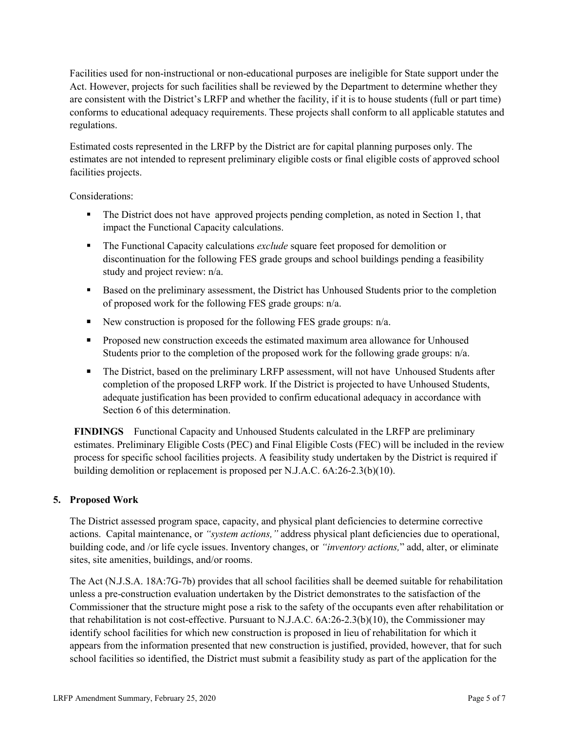Facilities used for non-instructional or non-educational purposes are ineligible for State support under the Act. However, projects for such facilities shall be reviewed by the Department to determine whether they are consistent with the District's LRFP and whether the facility, if it is to house students (full or part time) conforms to educational adequacy requirements. These projects shall conform to all applicable statutes and regulations.

Estimated costs represented in the LRFP by the District are for capital planning purposes only. The estimates are not intended to represent preliminary eligible costs or final eligible costs of approved school facilities projects.

Considerations:

- The District does not have approved projects pending completion, as noted in Section 1, that impact the Functional Capacity calculations.
- The Functional Capacity calculations *exclude* square feet proposed for demolition or discontinuation for the following FES grade groups and school buildings pending a feasibility study and project review: n/a.
- Based on the preliminary assessment, the District has Unhoused Students prior to the completion of proposed work for the following FES grade groups: n/a.
- New construction is proposed for the following FES grade groups:  $n/a$ .
- **Proposed new construction exceeds the estimated maximum area allowance for Unhoused** Students prior to the completion of the proposed work for the following grade groups: n/a.
- The District, based on the preliminary LRFP assessment, will not have Unhoused Students after completion of the proposed LRFP work. If the District is projected to have Unhoused Students, adequate justification has been provided to confirm educational adequacy in accordance with Section 6 of this determination.

**FINDINGS** Functional Capacity and Unhoused Students calculated in the LRFP are preliminary estimates. Preliminary Eligible Costs (PEC) and Final Eligible Costs (FEC) will be included in the review process for specific school facilities projects. A feasibility study undertaken by the District is required if building demolition or replacement is proposed per N.J.A.C. 6A:26-2.3(b)(10).

# **5. Proposed Work**

The District assessed program space, capacity, and physical plant deficiencies to determine corrective actions. Capital maintenance, or *"system actions,"* address physical plant deficiencies due to operational, building code, and /or life cycle issues. Inventory changes, or *"inventory actions,*" add, alter, or eliminate sites, site amenities, buildings, and/or rooms.

The Act (N.J.S.A. 18A:7G-7b) provides that all school facilities shall be deemed suitable for rehabilitation unless a pre-construction evaluation undertaken by the District demonstrates to the satisfaction of the Commissioner that the structure might pose a risk to the safety of the occupants even after rehabilitation or that rehabilitation is not cost-effective. Pursuant to N.J.A.C. 6A:26-2.3(b)(10), the Commissioner may identify school facilities for which new construction is proposed in lieu of rehabilitation for which it appears from the information presented that new construction is justified, provided, however, that for such school facilities so identified, the District must submit a feasibility study as part of the application for the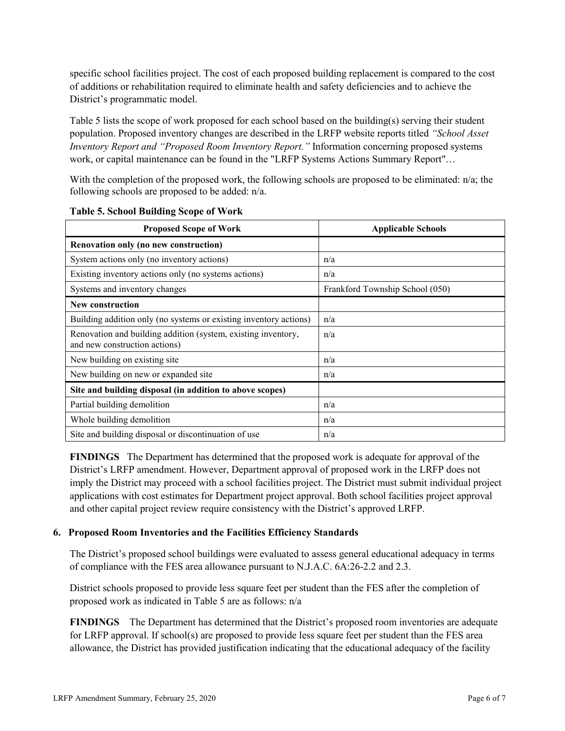specific school facilities project. The cost of each proposed building replacement is compared to the cost of additions or rehabilitation required to eliminate health and safety deficiencies and to achieve the District's programmatic model.

Table 5 lists the scope of work proposed for each school based on the building(s) serving their student population. Proposed inventory changes are described in the LRFP website reports titled *"School Asset Inventory Report and "Proposed Room Inventory Report."* Information concerning proposed systems work, or capital maintenance can be found in the "LRFP Systems Actions Summary Report"…

With the completion of the proposed work, the following schools are proposed to be eliminated: n/a; the following schools are proposed to be added: n/a.

| <b>Proposed Scope of Work</b>                                                                  | <b>Applicable Schools</b>       |
|------------------------------------------------------------------------------------------------|---------------------------------|
| Renovation only (no new construction)                                                          |                                 |
| System actions only (no inventory actions)                                                     | n/a                             |
| Existing inventory actions only (no systems actions)                                           | n/a                             |
| Systems and inventory changes                                                                  | Frankford Township School (050) |
| <b>New construction</b>                                                                        |                                 |
| Building addition only (no systems or existing inventory actions)                              | n/a                             |
| Renovation and building addition (system, existing inventory,<br>and new construction actions) | n/a                             |
| New building on existing site                                                                  | n/a                             |
| New building on new or expanded site                                                           | n/a                             |
| Site and building disposal (in addition to above scopes)                                       |                                 |
| Partial building demolition                                                                    | n/a                             |
| Whole building demolition                                                                      | n/a                             |
| Site and building disposal or discontinuation of use                                           | n/a                             |

**Table 5. School Building Scope of Work**

**FINDINGS** The Department has determined that the proposed work is adequate for approval of the District's LRFP amendment. However, Department approval of proposed work in the LRFP does not imply the District may proceed with a school facilities project. The District must submit individual project applications with cost estimates for Department project approval. Both school facilities project approval and other capital project review require consistency with the District's approved LRFP.

#### **6. Proposed Room Inventories and the Facilities Efficiency Standards**

The District's proposed school buildings were evaluated to assess general educational adequacy in terms of compliance with the FES area allowance pursuant to N.J.A.C. 6A:26-2.2 and 2.3.

District schools proposed to provide less square feet per student than the FES after the completion of proposed work as indicated in Table 5 are as follows: n/a

**FINDINGS** The Department has determined that the District's proposed room inventories are adequate for LRFP approval. If school(s) are proposed to provide less square feet per student than the FES area allowance, the District has provided justification indicating that the educational adequacy of the facility